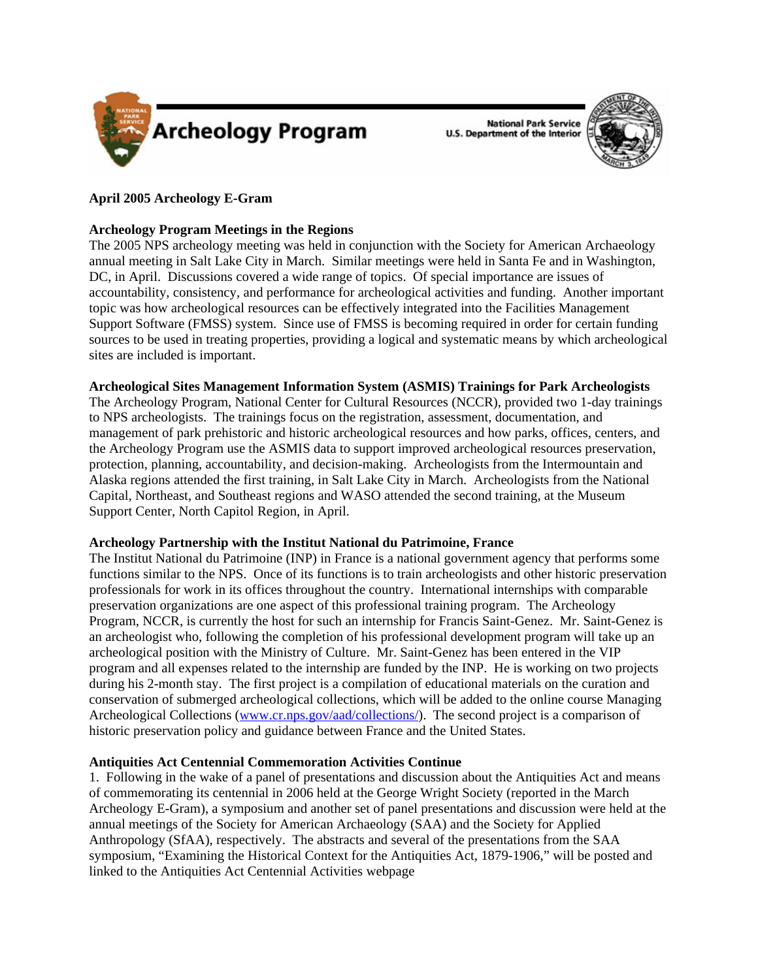

**National Park Service U.S. Department of the Interior** 



# **April 2005 Archeology E-Gram**

## **Archeology Program Meetings in the Regions**

The 2005 NPS archeology meeting was held in conjunction with the Society for American Archaeology annual meeting in Salt Lake City in March. Similar meetings were held in Santa Fe and in Washington, DC, in April. Discussions covered a wide range of topics. Of special importance are issues of accountability, consistency, and performance for archeological activities and funding. Another important topic was how archeological resources can be effectively integrated into the Facilities Management Support Software (FMSS) system. Since use of FMSS is becoming required in order for certain funding sources to be used in treating properties, providing a logical and systematic means by which archeological sites are included is important.

## **Archeological Sites Management Information System (ASMIS) Trainings for Park Archeologists**

The Archeology Program, National Center for Cultural Resources (NCCR), provided two 1-day trainings to NPS archeologists. The trainings focus on the registration, assessment, documentation, and management of park prehistoric and historic archeological resources and how parks, offices, centers, and the Archeology Program use the ASMIS data to support improved archeological resources preservation, protection, planning, accountability, and decision-making. Archeologists from the Intermountain and Alaska regions attended the first training, in Salt Lake City in March. Archeologists from the National Capital, Northeast, and Southeast regions and WASO attended the second training, at the Museum Support Center, North Capitol Region, in April.

## **Archeology Partnership with the Institut National du Patrimoine, France**

The Institut National du Patrimoine (INP) in France is a national government agency that performs some functions similar to the NPS. Once of its functions is to train archeologists and other historic preservation professionals for work in its offices throughout the country. International internships with comparable preservation organizations are one aspect of this professional training program. The Archeology Program, NCCR, is currently the host for such an internship for Francis Saint-Genez. Mr. Saint-Genez is an archeologist who, following the completion of his professional development program will take up an archeological position with the Ministry of Culture. Mr. Saint-Genez has been entered in the VIP program and all expenses related to the internship are funded by the INP. He is working on two projects during his 2-month stay. The first project is a compilation of educational materials on the curation and conservation of submerged archeological collections, which will be added to the online course Managing Archeological Collections (www.cr.nps.gov/aad/collections/). The second project is a comparison of historic preservation policy and guidance between France and the United States.

## **Antiquities Act Centennial Commemoration Activities Continue**

1. Following in the wake of a panel of presentations and discussion about the Antiquities Act and means of commemorating its centennial in 2006 held at the George Wright Society (reported in the March Archeology E-Gram), a symposium and another set of panel presentations and discussion were held at the annual meetings of the Society for American Archaeology (SAA) and the Society for Applied Anthropology (SfAA), respectively. The abstracts and several of the presentations from the SAA symposium, "Examining the Historical Context for the Antiquities Act, 1879-1906," will be posted and linked to the Antiquities Act Centennial Activities webpage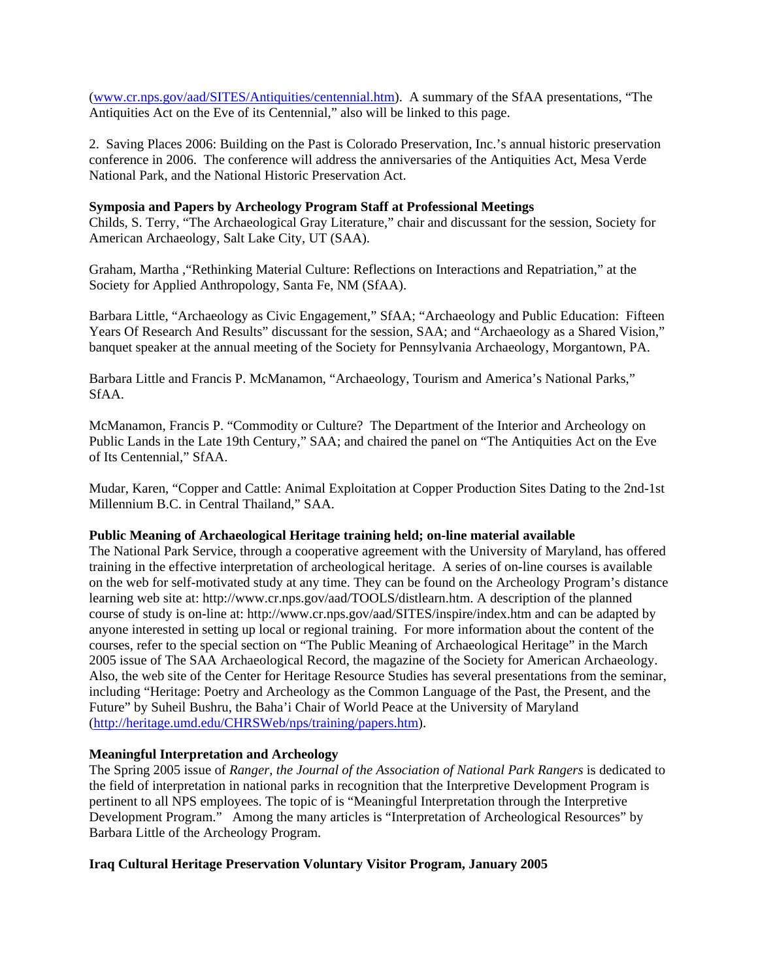(www.cr.nps.gov/aad/SITES/Antiquities/centennial.htm). A summary of the SfAA presentations, "The Antiquities Act on the Eve of its Centennial," also will be linked to this page.

2. Saving Places 2006: Building on the Past is Colorado Preservation, Inc.'s annual historic preservation conference in 2006. The conference will address the anniversaries of the Antiquities Act, Mesa Verde National Park, and the National Historic Preservation Act.

### **Symposia and Papers by Archeology Program Staff at Professional Meetings**

Childs, S. Terry, "The Archaeological Gray Literature," chair and discussant for the session, Society for American Archaeology, Salt Lake City, UT (SAA).

Graham, Martha ,"Rethinking Material Culture: Reflections on Interactions and Repatriation," at the Society for Applied Anthropology, Santa Fe, NM (SfAA).

Barbara Little, "Archaeology as Civic Engagement," SfAA; "Archaeology and Public Education: Fifteen Years Of Research And Results" discussant for the session, SAA; and "Archaeology as a Shared Vision," banquet speaker at the annual meeting of the Society for Pennsylvania Archaeology, Morgantown, PA.

Barbara Little and Francis P. McManamon, "Archaeology, Tourism and America's National Parks," SfAA.

McManamon, Francis P. "Commodity or Culture? The Department of the Interior and Archeology on Public Lands in the Late 19th Century," SAA; and chaired the panel on "The Antiquities Act on the Eve of Its Centennial," SfAA.

Mudar, Karen, "Copper and Cattle: Animal Exploitation at Copper Production Sites Dating to the 2nd-1st Millennium B.C. in Central Thailand," SAA.

### **Public Meaning of Archaeological Heritage training held; on-line material available**

The National Park Service, through a cooperative agreement with the University of Maryland, has offered training in the effective interpretation of archeological heritage. A series of on-line courses is available on the web for self-motivated study at any time. They can be found on the Archeology Program's distance learning web site at: http://www.cr.nps.gov/aad/TOOLS/distlearn.htm. A description of the planned course of study is on-line at: http://www.cr.nps.gov/aad/SITES/inspire/index.htm and can be adapted by anyone interested in setting up local or regional training. For more information about the content of the courses, refer to the special section on "The Public Meaning of Archaeological Heritage" in the March 2005 issue of The SAA Archaeological Record, the magazine of the Society for American Archaeology. Also, the web site of the Center for Heritage Resource Studies has several presentations from the seminar, including "Heritage: Poetry and Archeology as the Common Language of the Past, the Present, and the Future" by Suheil Bushru, the Baha'i Chair of World Peace at the University of Maryland (http://heritage.umd.edu/CHRSWeb/nps/training/papers.htm).

### **Meaningful Interpretation and Archeology**

The Spring 2005 issue of *Ranger, the Journal of the Association of National Park Rangers* is dedicated to the field of interpretation in national parks in recognition that the Interpretive Development Program is pertinent to all NPS employees. The topic of is "Meaningful Interpretation through the Interpretive Development Program." Among the many articles is "Interpretation of Archeological Resources" by Barbara Little of the Archeology Program.

## **Iraq Cultural Heritage Preservation Voluntary Visitor Program, January 2005**